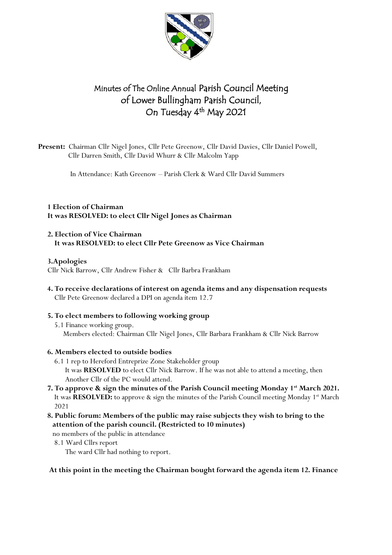

# Minutes of The Online Annual Parish Council Meeting of Lower Bullingham Parish Council, On Tuesday 4<sup>th</sup> May 2021

**Present:** Chairman Cllr Nigel Jones, Cllr Pete Greenow, Cllr David Davies, Cllr Daniel Powell, Cllr Darren Smith, Cllr David Whurr & Cllr Malcolm Yapp

In Attendance: Kath Greenow – Parish Clerk & Ward Cllr David Summers

**1 Election of Chairman It was RESOLVED: to elect Cllr Nigel Jones as Chairman** 

**2. Election of Vice Chairman It was RESOLVED: to elect Cllr Pete Greenow as Vice Chairman** 

## **3.Apologies**

Cllr Nick Barrow, Cllr Andrew Fisher &Cllr Barbra Frankham

**4. To receive declarations of interest on agenda items and any dispensation requests** Cllr Pete Greenow declared a DPI on agenda item 12.7

# **5. To elect members to following working group**

 5.1 Finance working group. Members elected: Chairman Cllr Nigel Jones, Cllr Barbara Frankham & Cllr Nick Barrow

#### **6. Members elected to outside bodies**

- 6.1 1 rep to Hereford Entreprize Zone Stakeholder group It was **RESOLVED** to elect Cllr Nick Barrow. If he was not able to attend a meeting, then Another Cllr of the PC would attend.
- **7. To approve & sign the minutes of the Parish Council meeting Monday 1st March 2021.**  It was **RESOLVED:** to approve & sign the minutes of the Parish Council meeting Monday 1<sup>st</sup> March 2021
- **8. Public forum: Members of the public may raise subjects they wish to bring to the attention of the parish council. (Restricted to 10 minutes)**

no members of the public in attendance

8.1 Ward Cllrs report

The ward Cllr had nothing to report.

**At this point in the meeting the Chairman bought forward the agenda item 12. Finance**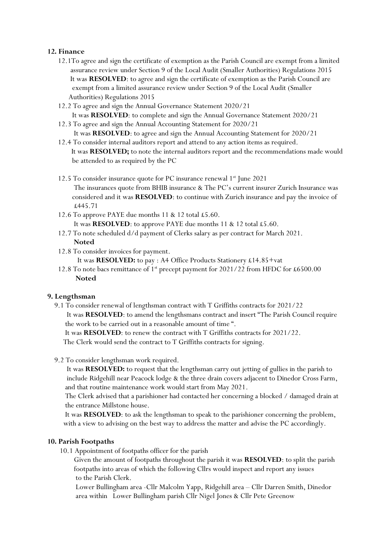# **12. Finance**

- 12.1To agree and sign the certificate of exemption as the Parish Council are exempt from a limited assurance review under Section 9 of the Local Audit (Smaller Authorities) Regulations 2015 It was **RESOLVED**: to agree and sign the certificate of exemption as the Parish Council are exempt from a limited assurance review under Section 9 of the Local Audit (Smaller Authorities) Regulations 2015
- 12.2 To agree and sign the Annual Governance Statement 2020/21 It was **RESOLVED**: to complete and sign the Annual Governance Statement 2020/21
- 12.3 To agree and sign the Annual Accounting Statement for 2020/21 It was **RESOLVED**: to agree and sign the Annual Accounting Statement for 2020/21
- 12.4 To consider internal auditors report and attend to any action items as required. It was **RESOLVED;** to note the internal auditors report and the recommendations made would be attended to as required by the PC
- 12.5 To consider insurance quote for PC insurance renewal  $1<sup>st</sup>$  June 2021 The insurances quote from BHIB insurance & The PC's current insurer Zurich Insurance was considered and it was **RESOLVED**: to continue with Zurich insurance and pay the invoice of £445.71
- 12.6 To approve PAYE due months 11 & 12 total £5.60. It was **RESOLVED**: to approve PAYE due months 11 & 12 total £5.60.
- 12.7 To note scheduled d/d payment of Clerks salary as per contract for March 2021. **Noted**
- 12.8 To consider invoices for payment. It was **RESOLVED:** to pay : A4 Office Products Stationery £14.85+vat
- 12.8 To note bacs remittance of 1<sup>st</sup> precept payment for  $2021/22$  from HFDC for £6500.00 **Noted**

#### **9. Lengthsman**

 9.1 To consider renewal of lengthsman contract with T Griffiths contracts for 2021/22 It was **RESOLVED**: to amend the lengthsmans contract and insert "The Parish Council require the work to be carried out in a reasonable amount of time ".

It was **RESOLVED**: to renew the contract with T Griffiths contracts for 2021/22.

The Clerk would send the contract to T Griffiths contracts for signing.

9.2 To consider lengthsman work required.

 It was **RESOLVED:** to request that the lengthsman carry out jetting of gullies in the parish to include Ridgehill near Peacock lodge & the three drain covers adjacent to Dinedor Cross Farm, and that routine maintenance work would start from May 2021.

 The Clerk advised that a parishioner had contacted her concerning a blocked / damaged drain at the entrance Millstone house.

 It was **RESOLVED**: to ask the lengthsman to speak to the parishioner concerning the problem, with a view to advising on the best way to address the matter and advise the PC accordingly.

#### **10. Parish Footpaths**

10.1 Appointment of footpaths officer for the parish

 Given the amount of footpaths throughout the parish it was **RESOLVED**: to split the parish footpaths into areas of which the following Cllrs would inspect and report any issues to the Parish Clerk.

 Lower Bullingham area -Cllr Malcolm Yapp, Ridgehill area – Cllr Darren Smith, Dinedor area within Lower Bullingham parish Cllr Nigel Jones & Cllr Pete Greenow